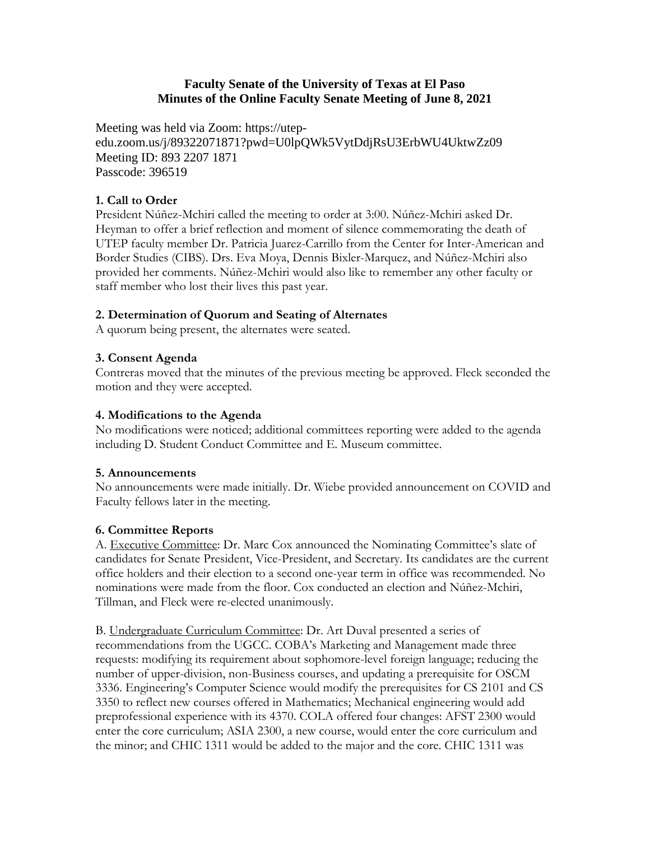### **Faculty Senate of the University of Texas at El Paso Minutes of the Online Faculty Senate Meeting of June 8, 2021**

Meeting was held via Zoom: https://utepedu.zoom.us/j/89322071871?pwd=U0lpQWk5VytDdjRsU3ErbWU4UktwZz09 Meeting ID: 893 2207 1871 Passcode: 396519

## **1. Call to Order**

President Núñez-Mchiri called the meeting to order at 3:00. Núñez-Mchiri asked Dr. Heyman to offer a brief reflection and moment of silence commemorating the death of UTEP faculty member Dr. Patricia Juarez-Carrillo from the Center for Inter-American and Border Studies (CIBS). Drs. Eva Moya, Dennis Bixler-Marquez, and Núñez-Mchiri also provided her comments. Núñez-Mchiri would also like to remember any other faculty or staff member who lost their lives this past year.

## **2. Determination of Quorum and Seating of Alternates**

A quorum being present, the alternates were seated.

## **3. Consent Agenda**

Contreras moved that the minutes of the previous meeting be approved. Fleck seconded the motion and they were accepted.

## **4. Modifications to the Agenda**

No modifications were noticed; additional committees reporting were added to the agenda including D. Student Conduct Committee and E. Museum committee.

#### **5. Announcements**

No announcements were made initially. Dr. Wiebe provided announcement on COVID and Faculty fellows later in the meeting.

# **6. Committee Reports**

A. Executive Committee: Dr. Marc Cox announced the Nominating Committee's slate of candidates for Senate President, Vice-President, and Secretary. Its candidates are the current office holders and their election to a second one-year term in office was recommended. No nominations were made from the floor. Cox conducted an election and Núñez-Mchiri, Tillman, and Fleck were re-elected unanimously.

B. Undergraduate Curriculum Committee: Dr. Art Duval presented a series of recommendations from the UGCC. COBA's Marketing and Management made three requests: modifying its requirement about sophomore-level foreign language; reducing the number of upper-division, non-Business courses, and updating a prerequisite for OSCM 3336. Engineering's Computer Science would modify the prerequisites for CS 2101 and CS 3350 to reflect new courses offered in Mathematics; Mechanical engineering would add preprofessional experience with its 4370. COLA offered four changes: AFST 2300 would enter the core curriculum; ASIA 2300, a new course, would enter the core curriculum and the minor; and CHIC 1311 would be added to the major and the core. CHIC 1311 was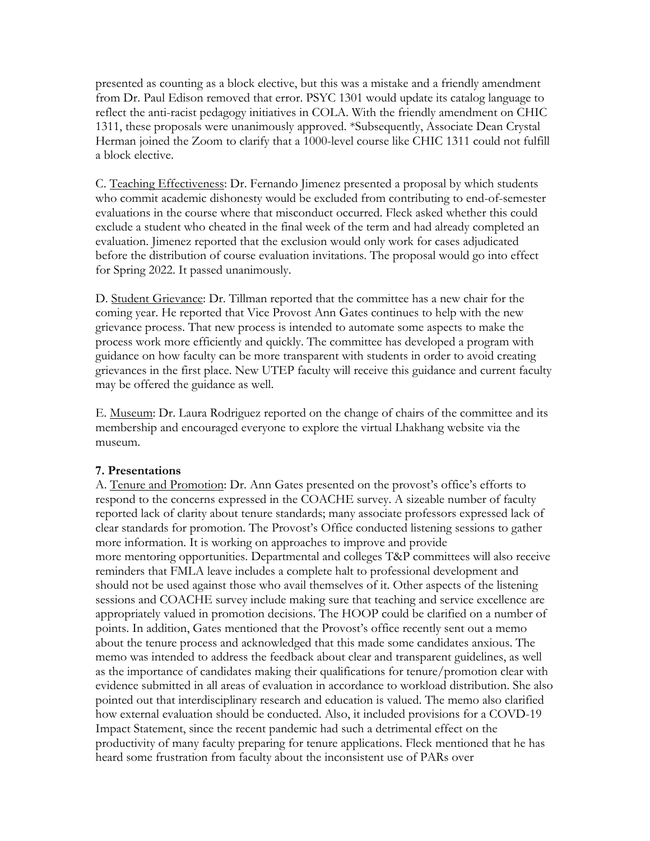presented as counting as a block elective, but this was a mistake and a friendly amendment from Dr. Paul Edison removed that error. PSYC 1301 would update its catalog language to reflect the anti-racist pedagogy initiatives in COLA. With the friendly amendment on CHIC 1311, these proposals were unanimously approved. \*Subsequently, Associate Dean Crystal Herman joined the Zoom to clarify that a 1000-level course like CHIC 1311 could not fulfill a block elective.

C. Teaching Effectiveness: Dr. Fernando Jimenez presented a proposal by which students who commit academic dishonesty would be excluded from contributing to end-of-semester evaluations in the course where that misconduct occurred. Fleck asked whether this could exclude a student who cheated in the final week of the term and had already completed an evaluation. Jimenez reported that the exclusion would only work for cases adjudicated before the distribution of course evaluation invitations. The proposal would go into effect for Spring 2022. It passed unanimously.

D. Student Grievance: Dr. Tillman reported that the committee has a new chair for the coming year. He reported that Vice Provost Ann Gates continues to help with the new grievance process. That new process is intended to automate some aspects to make the process work more efficiently and quickly. The committee has developed a program with guidance on how faculty can be more transparent with students in order to avoid creating grievances in the first place. New UTEP faculty will receive this guidance and current faculty may be offered the guidance as well.

E. Museum: Dr. Laura Rodriguez reported on the change of chairs of the committee and its membership and encouraged everyone to explore the virtual Lhakhang website via the museum.

#### **7. Presentations**

A. Tenure and Promotion: Dr. Ann Gates presented on the provost's office's efforts to respond to the concerns expressed in the COACHE survey. A sizeable number of faculty reported lack of clarity about tenure standards; many associate professors expressed lack of clear standards for promotion. The Provost's Office conducted listening sessions to gather more information. It is working on approaches to improve and provide more mentoring opportunities. Departmental and colleges T&P committees will also receive reminders that FMLA leave includes a complete halt to professional development and should not be used against those who avail themselves of it. Other aspects of the listening sessions and COACHE survey include making sure that teaching and service excellence are appropriately valued in promotion decisions. The HOOP could be clarified on a number of points. In addition, Gates mentioned that the Provost's office recently sent out a memo about the tenure process and acknowledged that this made some candidates anxious. The memo was intended to address the feedback about clear and transparent guidelines, as well as the importance of candidates making their qualifications for tenure/promotion clear with evidence submitted in all areas of evaluation in accordance to workload distribution. She also pointed out that interdisciplinary research and education is valued. The memo also clarified how external evaluation should be conducted. Also, it included provisions for a COVD-19 Impact Statement, since the recent pandemic had such a detrimental effect on the productivity of many faculty preparing for tenure applications. Fleck mentioned that he has heard some frustration from faculty about the inconsistent use of PARs over